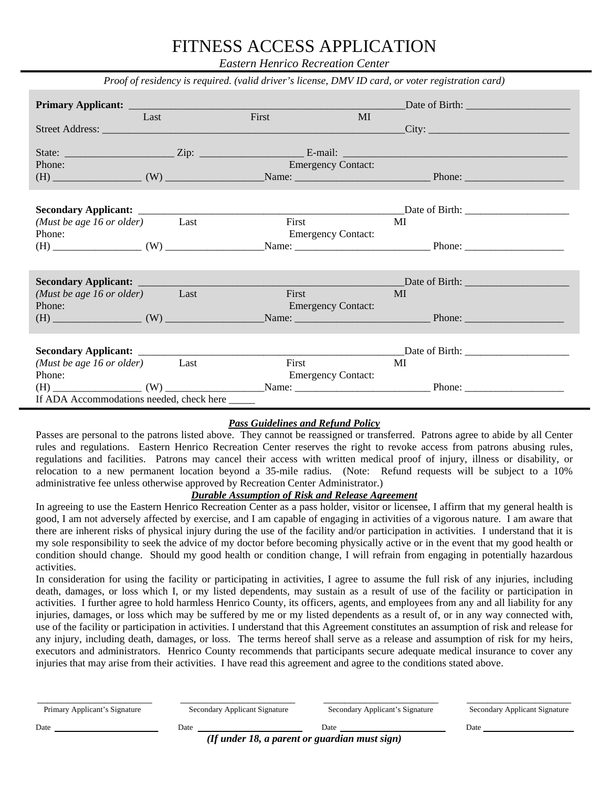*Eastern Henrico Recreation Center* 

|                                                |      | Proof of residency is required. (valid driver's license, DMV ID card, or voter registration card) |       |                           |    |                                                                                        |
|------------------------------------------------|------|---------------------------------------------------------------------------------------------------|-------|---------------------------|----|----------------------------------------------------------------------------------------|
|                                                |      |                                                                                                   |       |                           |    |                                                                                        |
|                                                | Last |                                                                                                   | First | MI                        |    |                                                                                        |
|                                                |      |                                                                                                   |       |                           |    | City:                                                                                  |
|                                                |      |                                                                                                   |       |                           |    |                                                                                        |
|                                                |      |                                                                                                   |       |                           |    |                                                                                        |
| Phone:                                         |      |                                                                                                   |       | <b>Emergency Contact:</b> |    |                                                                                        |
|                                                |      |                                                                                                   |       |                           |    |                                                                                        |
|                                                |      |                                                                                                   |       |                           |    |                                                                                        |
|                                                |      |                                                                                                   |       |                           |    |                                                                                        |
|                                                |      |                                                                                                   |       |                           |    |                                                                                        |
| (Must be age 16 or older) Last                 |      |                                                                                                   |       | <b>First</b>              | MI |                                                                                        |
| Phone:                                         |      |                                                                                                   |       | <b>Emergency Contact:</b> |    |                                                                                        |
|                                                |      |                                                                                                   |       |                           |    | $(H)$ $\qquad \qquad (W)$ $\qquad \qquad$ Name: $\qquad \qquad$ Phone: $\qquad \qquad$ |
|                                                |      |                                                                                                   |       |                           |    |                                                                                        |
|                                                |      |                                                                                                   |       |                           |    |                                                                                        |
| Secondary Applicant: ___________               |      |                                                                                                   |       |                           |    |                                                                                        |
| (Must be age 16 or older) Last                 |      |                                                                                                   |       | First                     | MI |                                                                                        |
| Phone:                                         |      |                                                                                                   |       | <b>Emergency Contact:</b> |    |                                                                                        |
|                                                |      |                                                                                                   |       |                           |    | $(H)$ Phone: $(M)$ Name: $(M)$ Phone: $(M)$                                            |
|                                                |      |                                                                                                   |       |                           |    |                                                                                        |
|                                                |      |                                                                                                   |       |                           |    |                                                                                        |
|                                                |      |                                                                                                   |       |                           |    |                                                                                        |
| ( <i>Must be age 16 or older</i> ) Last        |      |                                                                                                   |       | First                     | MI |                                                                                        |
| Phone:                                         |      |                                                                                                   |       | <b>Emergency Contact:</b> |    |                                                                                        |
|                                                |      |                                                                                                   |       |                           |    |                                                                                        |
| If ADA Accommodations needed, check here _____ |      |                                                                                                   |       |                           |    |                                                                                        |
|                                                |      |                                                                                                   |       |                           |    |                                                                                        |

#### *Pass Guidelines and Refund Policy*

Passes are personal to the patrons listed above. They cannot be reassigned or transferred. Patrons agree to abide by all Center rules and regulations. Eastern Henrico Recreation Center reserves the right to revoke access from patrons abusing rules, regulations and facilities. Patrons may cancel their access with written medical proof of injury, illness or disability, or relocation to a new permanent location beyond a 35-mile radius. (Note: Refund requests will be subject to a 10% administrative fee unless otherwise approved by Recreation Center Administrator.)

#### *Durable Assumption of Risk and Release Agreement*

In agreeing to use the Eastern Henrico Recreation Center as a pass holder, visitor or licensee, I affirm that my general health is good, I am not adversely affected by exercise, and I am capable of engaging in activities of a vigorous nature. I am aware that there are inherent risks of physical injury during the use of the facility and/or participation in activities. I understand that it is my sole responsibility to seek the advice of my doctor before becoming physically active or in the event that my good health or condition should change. Should my good health or condition change, I will refrain from engaging in potentially hazardous activities.

In consideration for using the facility or participating in activities, I agree to assume the full risk of any injuries, including death, damages, or loss which I, or my listed dependents, may sustain as a result of use of the facility or participation in activities. I further agree to hold harmless Henrico County, its officers, agents, and employees from any and all liability for any injuries, damages, or loss which may be suffered by me or my listed dependents as a result of, or in any way connected with, use of the facility or participation in activities. I understand that this Agreement constitutes an assumption of risk and release for any injury, including death, damages, or loss. The terms hereof shall serve as a release and assumption of risk for my heirs, executors and administrators. Henrico County recommends that participants secure adequate medical insurance to cover any injuries that may arise from their activities. I have read this agreement and agree to the conditions stated above.

| Primary Applicant's Signature | Secondary Applicant Signature                 | Secondary Applicant's Signature | Secondary Applicant Signature |
|-------------------------------|-----------------------------------------------|---------------------------------|-------------------------------|
| Date                          | Date                                          | Date                            | Date                          |
|                               | (If under 18, a parent or guardian must sign) |                                 |                               |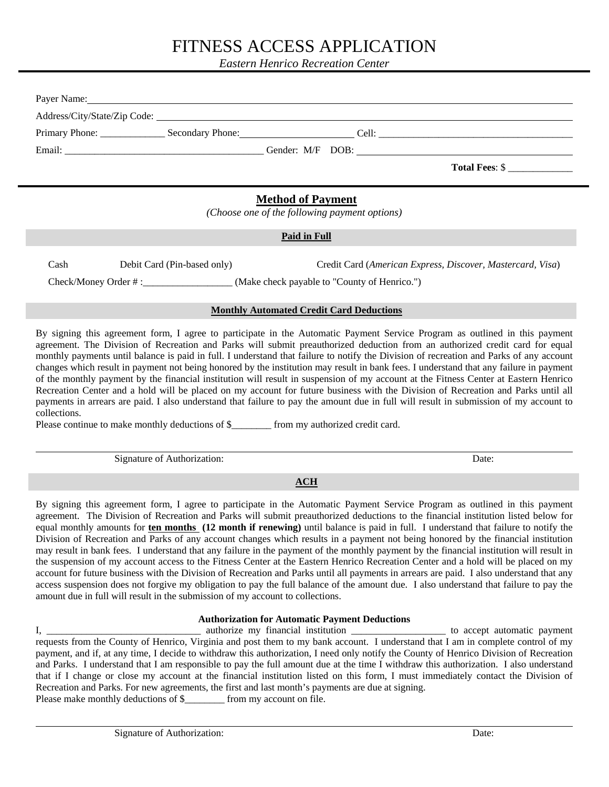*Eastern Henrico Recreation Center* 

|                                                                           | Payer Name: Name: Name: Name: Name: Name: Name: Name: Name: Name: Name: Name: Name: Name: Name: Name: Name: Name: Name: Name: Name: Name: Name: Name: Name: Name: Name: Name: Name: Name: Name: Name: Name: Name: Name: Name: |                              |  |  |
|---------------------------------------------------------------------------|-------------------------------------------------------------------------------------------------------------------------------------------------------------------------------------------------------------------------------|------------------------------|--|--|
|                                                                           |                                                                                                                                                                                                                               | Address/City/State/Zip Code: |  |  |
|                                                                           |                                                                                                                                                                                                                               |                              |  |  |
|                                                                           |                                                                                                                                                                                                                               |                              |  |  |
|                                                                           |                                                                                                                                                                                                                               | Total Fees: \$               |  |  |
| <b>Method of Payment</b><br>(Choose one of the following payment options) |                                                                                                                                                                                                                               |                              |  |  |
|                                                                           |                                                                                                                                                                                                                               |                              |  |  |
|                                                                           |                                                                                                                                                                                                                               | <b>Paid in Full</b>          |  |  |

Check/Money Order # :\_\_\_\_\_\_\_\_\_\_\_\_\_\_\_\_\_\_ (Make check payable to "County of Henrico.")

#### **Monthly Automated Credit Card Deductions**

By signing this agreement form, I agree to participate in the Automatic Payment Service Program as outlined in this payment agreement. The Division of Recreation and Parks will submit preauthorized deduction from an authorized credit card for equal monthly payments until balance is paid in full. I understand that failure to notify the Division of recreation and Parks of any account changes which result in payment not being honored by the institution may result in bank fees. I understand that any failure in payment of the monthly payment by the financial institution will result in suspension of my account at the Fitness Center at Eastern Henrico Recreation Center and a hold will be placed on my account for future business with the Division of Recreation and Parks until all payments in arrears are paid. I also understand that failure to pay the amount due in full will result in submission of my account to collections.

Please continue to make monthly deductions of \$ from my authorized credit card.

Signature of Authorization: Date: Date:

 $\overline{a}$ 

 $\overline{a}$ 

**ACH** 

By signing this agreement form, I agree to participate in the Automatic Payment Service Program as outlined in this payment agreement. The Division of Recreation and Parks will submit preauthorized deductions to the financial institution listed below for equal monthly amounts for **ten months (12 month if renewing)** until balance is paid in full. I understand that failure to notify the Division of Recreation and Parks of any account changes which results in a payment not being honored by the financial institution may result in bank fees. I understand that any failure in the payment of the monthly payment by the financial institution will result in the suspension of my account access to the Fitness Center at the Eastern Henrico Recreation Center and a hold will be placed on my account for future business with the Division of Recreation and Parks until all payments in arrears are paid. I also understand that any access suspension does not forgive my obligation to pay the full balance of the amount due. I also understand that failure to pay the amount due in full will result in the submission of my account to collections.

#### **Authorization for Automatic Payment Deductions**

I, \_\_\_\_\_\_\_\_\_\_\_\_\_\_\_\_\_\_\_\_\_\_\_\_\_\_\_\_\_\_\_\_\_ authorize my financial institution \_\_\_\_\_\_\_\_\_\_\_\_\_\_\_\_\_\_\_\_\_\_\_\_ to accept automatic payment requests from the County of Henrico, Virginia and post them to my bank account. I understand that I am in complete control of my payment, and if, at any time, I decide to withdraw this authorization, I need only notify the County of Henrico Division of Recreation and Parks. I understand that I am responsible to pay the full amount due at the time I withdraw this authorization. I also understand that if I change or close my account at the financial institution listed on this form, I must immediately contact the Division of Recreation and Parks. For new agreements, the first and last month's payments are due at signing. Please make monthly deductions of \$\_\_\_\_\_\_\_\_\_ from my account on file.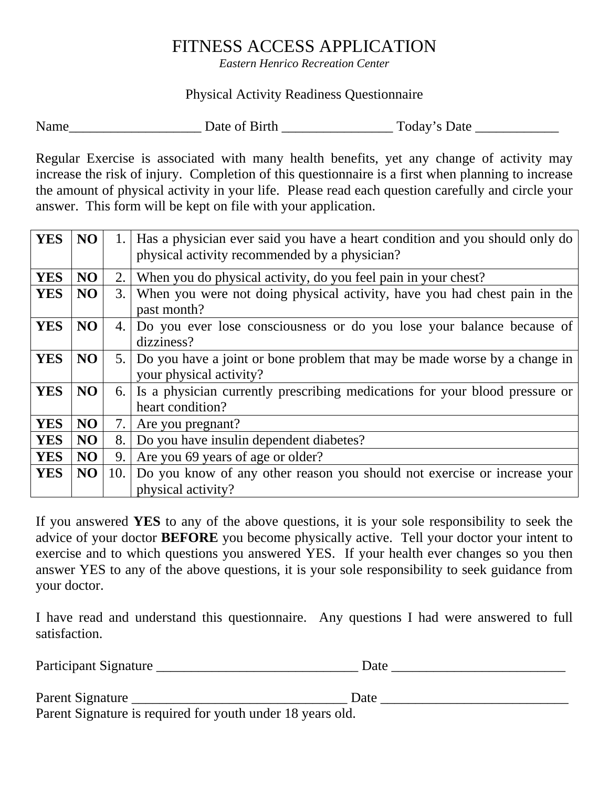*Eastern Henrico Recreation Center* 

### Physical Activity Readiness Questionnaire

Name\_\_\_\_\_\_\_\_\_\_\_\_\_\_\_\_\_\_\_ Date of Birth \_\_\_\_\_\_\_\_\_\_\_\_\_\_\_\_ Today's Date \_\_\_\_\_\_\_\_\_\_\_\_

Regular Exercise is associated with many health benefits, yet any change of activity may increase the risk of injury. Completion of this questionnaire is a first when planning to increase the amount of physical activity in your life. Please read each question carefully and circle your answer. This form will be kept on file with your application.

| <b>YES</b> | NO | 1.  | Has a physician ever said you have a heart condition and you should only do<br>physical activity recommended by a physician? |  |  |
|------------|----|-----|------------------------------------------------------------------------------------------------------------------------------|--|--|
| <b>YES</b> | NO | 2.  | When you do physical activity, do you feel pain in your chest?                                                               |  |  |
| <b>YES</b> | NO | 3.1 | When you were not doing physical activity, have you had chest pain in the<br>past month?                                     |  |  |
| <b>YES</b> | NO | 4.  | Do you ever lose consciousness or do you lose your balance because of<br>dizziness?                                          |  |  |
| <b>YES</b> | NO |     | 5. Do you have a joint or bone problem that may be made worse by a change in<br>your physical activity?                      |  |  |
| <b>YES</b> | NO |     | 6. Is a physician currently prescribing medications for your blood pressure or<br>heart condition?                           |  |  |
| <b>YES</b> | NO | 7.  | Are you pregnant?                                                                                                            |  |  |
| <b>YES</b> | NO | 8.  | Do you have insulin dependent diabetes?                                                                                      |  |  |
| <b>YES</b> | NO | 9.  | Are you 69 years of age or older?                                                                                            |  |  |
| <b>YES</b> | NO | 10. | Do you know of any other reason you should not exercise or increase your<br>physical activity?                               |  |  |

If you answered **YES** to any of the above questions, it is your sole responsibility to seek the advice of your doctor **BEFORE** you become physically active. Tell your doctor your intent to exercise and to which questions you answered YES. If your health ever changes so you then answer YES to any of the above questions, it is your sole responsibility to seek guidance from your doctor.

I have read and understand this questionnaire. Any questions I had were answered to full satisfaction.

Participant Signature \_\_\_\_\_\_\_\_\_\_\_\_\_\_\_\_\_\_\_\_\_\_\_\_\_\_\_\_\_ Date \_\_\_\_\_\_\_\_\_\_\_\_\_\_\_\_\_\_\_\_\_\_\_\_\_

Parent Signature \_\_\_\_\_\_\_\_\_\_\_\_\_\_\_\_\_\_\_\_\_\_\_\_\_\_\_\_\_\_\_ Date \_\_\_\_\_\_\_\_\_\_\_\_\_\_\_\_\_\_\_\_\_\_\_\_\_\_\_

Parent Signature is required for youth under 18 years old.